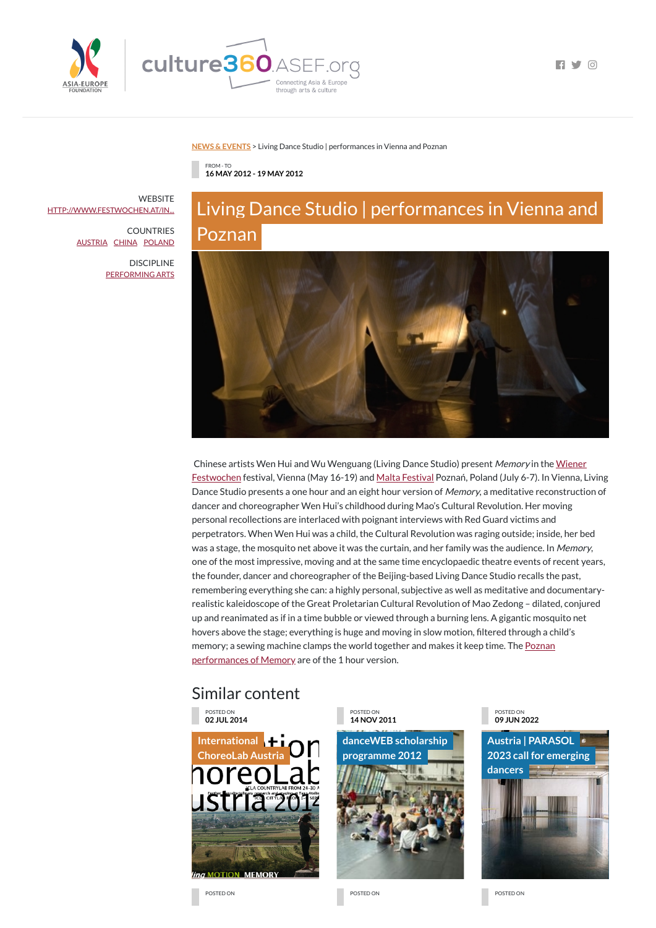

 $\blacksquare$ 

### **NEWS & [EVENTS](https://culture360.asef.org/news-events/)** > Living Dance Studio | performances in Vienna and Poznan

## Similar content

Chinese artists Wen Hui and Wu Wenguang (Living Dance Studio) present Memory in the Wiener [Festwochen](http://www.festwochen.at/index.php?id=eventdetail&L=1&detail=752) festival, Vienna (May 16-19) and Malta [Festival](http://www.malta-festival.pl/) Poznań, Poland (July 6-7). In Vienna, Living Dance Studio presents a one hour and an eight hour version of *Memory*, a meditative reconstruction of dancer and choreographer Wen Hui's childhood during Mao's Cultural Revolution. Her moving personal recollections are interlaced with poignant interviews with Red Guard victims and perpetrators. When Wen Hui was a child, the Cultural Revolution was raging outside; inside, her bed was a stage, the mosquito net above it was the curtain, and her family was the audience. In Memory, one of the most impressive, moving and at the same time encyclopaedic theatre events of recent years, the founder, dancer and choreographer of the Beijing-based Living Dance Studio recalls the past, remembering everything she can: a highly personal, subjective as well as meditative and documentaryrealistic kaleidoscope of the Great Proletarian Cultural Revolution of Mao Zedong – dilated, conjured up and reanimated as if in a time bubble or viewed through a burning lens. A gigantic mosquito net hovers above the stage; everything is huge and moving in slow motion, filtered through a child's memory; a sewing machine clamps the world together and makes it keep time. The **Poznan** [performances](http://www.malta-festival.pl/index.php/en/program/18,22,412) of Memory are of the 1 hour version.

FROM - TO **16 MAY 2012 - 19 MAY 2012**

# Living Dance Studio | performances in Vienna and Poznan



**WEBSITE** [HTTP://WWW.FESTWOCHEN.AT/IN...](http://www.festwochen.at/index.php?id=eventdetail&L=1&detail=752)

> POSTED ON **02 JUL 2014**



#### POSTED ON **14 NOV 2011**

**danceWEB scholarship [programme](https://culture360.asef.org/opportunities/danceweb-scholarship-programme-2012/) 2012**



POSTED ON **09 JUN 2022**



POSTED ON POSTED ON POSTED ON

COUNTRIES [AUSTRIA](https://culture360.asef.org/countries/austria/) [CHINA](https://culture360.asef.org/countries/china/) [POLAND](https://culture360.asef.org/countries/poland/)

> DISCIPLINE [PERFORMING](https://culture360.asef.org/disciplines/performing-arts/) ARTS